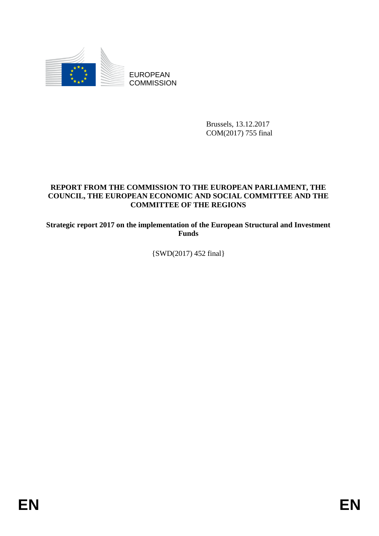

Brussels, 13.12.2017 COM(2017) 755 final

# **REPORT FROM THE COMMISSION TO THE EUROPEAN PARLIAMENT, THE COUNCIL, THE EUROPEAN ECONOMIC AND SOCIAL COMMITTEE AND THE COMMITTEE OF THE REGIONS**

**Strategic report 2017 on the implementation of the European Structural and Investment Funds**

{SWD(2017) 452 final}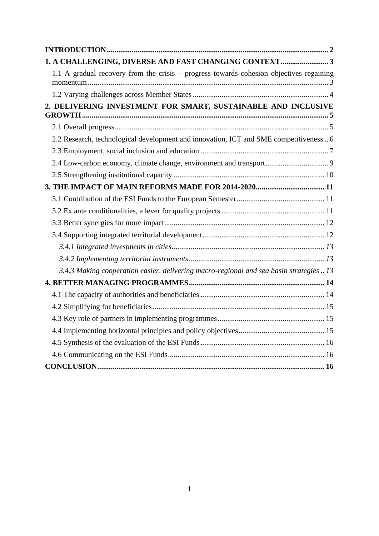| 1. A CHALLENGING, DIVERSE AND FAST CHANGING CONTEXT 3                                   |
|-----------------------------------------------------------------------------------------|
| 1.1 A gradual recovery from the crisis – progress towards cohesion objectives regaining |
|                                                                                         |
| 2. DELIVERING INVESTMENT FOR SMART, SUSTAINABLE AND INCLUSIVE                           |
|                                                                                         |
| 2.2 Research, technological development and innovation, ICT and SME competitiveness 6   |
|                                                                                         |
|                                                                                         |
|                                                                                         |
| 3. THE IMPACT OF MAIN REFORMS MADE FOR 2014-2020 11                                     |
|                                                                                         |
|                                                                                         |
|                                                                                         |
|                                                                                         |
|                                                                                         |
|                                                                                         |
| 3.4.3 Making cooperation easier, delivering macro-regional and sea basin strategies  13 |
|                                                                                         |
|                                                                                         |
|                                                                                         |
|                                                                                         |
|                                                                                         |
|                                                                                         |
|                                                                                         |
|                                                                                         |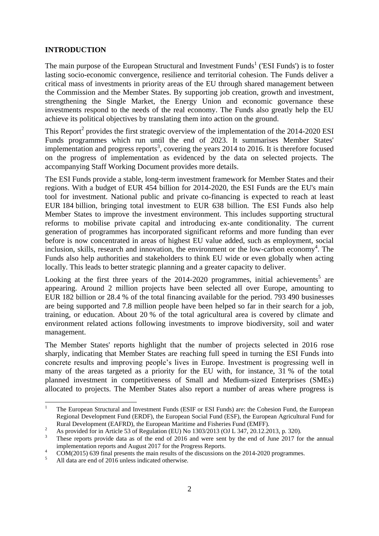### <span id="page-2-0"></span>**INTRODUCTION**

The main purpose of the European Structural and Investment Funds<sup>1</sup> ('ESI Funds') is to foster lasting socio-economic convergence, resilience and territorial cohesion. The Funds deliver a critical mass of investments in priority areas of the EU through shared management between the Commission and the Member States. By supporting job creation, growth and investment, strengthening the Single Market, the Energy Union and economic governance these investments respond to the needs of the real economy. The Funds also greatly help the EU achieve its political objectives by translating them into action on the ground.

This Report<sup>2</sup> provides the first strategic overview of the implementation of the  $2014$ - $2020$  ESI Funds programmes which run until the end of 2023. It summarises Member States' implementation and progress reports<sup>3</sup>, covering the years 2014 to 2016. It is therefore focused on the progress of implementation as evidenced by the data on selected projects. The accompanying Staff Working Document provides more details.

The ESI Funds provide a stable, long-term investment framework for Member States and their regions. With a budget of EUR 454 billion for 2014-2020, the ESI Funds are the EU's main tool for investment. National public and private co-financing is expected to reach at least EUR 184 billion, bringing total investment to EUR 638 billion. The ESI Funds also help Member States to improve the investment environment. This includes supporting structural reforms to mobilise private capital and introducing ex-ante conditionality. The current generation of programmes has incorporated significant reforms and more funding than ever before is now concentrated in areas of highest EU value added, such as employment, social inclusion, skills, research and innovation, the environment or the low-carbon economy<sup>4</sup>. The Funds also help authorities and stakeholders to think EU wide or even globally when acting locally. This leads to better strategic planning and a greater capacity to deliver.

Looking at the first three years of the  $2014$ -2020 programmes, initial achievements<sup>5</sup> are appearing. Around 2 million projects have been selected all over Europe, amounting to EUR 182 billion or 28.4 % of the total financing available for the period. 793 490 businesses are being supported and 7.8 million people have been helped so far in their search for a job, training, or education. About 20 % of the total agricultural area is covered by climate and environment related actions following investments to improve biodiversity, soil and water management.

The Member States' reports highlight that the number of projects selected in 2016 rose sharply, indicating that Member States are reaching full speed in turning the ESI Funds into concrete results and improving people's lives in Europe. Investment is progressing well in many of the areas targeted as a priority for the EU with, for instance, 31 % of the total planned investment in competitiveness of Small and Medium-sized Enterprises (SMEs) allocated to projects. The Member States also report a number of areas where progress is

1

<sup>1</sup> The European Structural and Investment Funds (ESIF or ESI Funds) are: the Cohesion Fund, the European Regional Development Fund (ERDF), the European Social Fund (ESF), the European Agricultural Fund for Rural Development (EAFRD), the European Maritime and Fisheries Fund (EMFF).

<sup>2&</sup>lt;br>
<sup>2</sup> As provided for in Article 53 of Regulation (EU) No 1303/2013 (OJ L 347, 20.12.2013, p. 320).

<sup>3</sup> These reports provide data as of the end of 2016 and were sent by the end of June 2017 for the annual implementation reports and August 2017 for the Progress Reports.

<sup>&</sup>lt;sup>4</sup> COM(2015) 639 final presents the main results of the discussions on the 2014-2020 programmes.

<sup>5</sup> All data are end of 2016 unless indicated otherwise.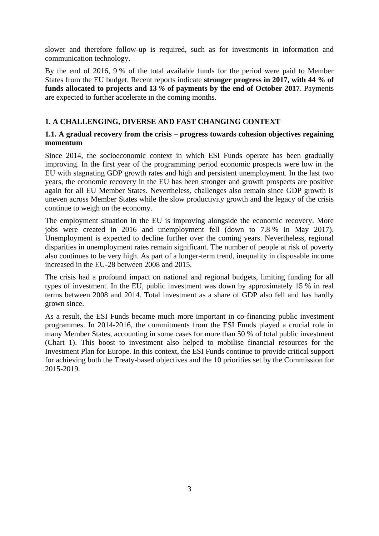slower and therefore follow-up is required, such as for investments in information and communication technology.

By the end of 2016, 9 % of the total available funds for the period were paid to Member States from the EU budget. Recent reports indicate **stronger progress in 2017, with 44 % of funds allocated to projects and 13** *%* **of payments by the end of October 2017**. Payments are expected to further accelerate in the coming months.

# <span id="page-3-0"></span>**1. A CHALLENGING, DIVERSE AND FAST CHANGING CONTEXT**

## <span id="page-3-1"></span>**1.1. A gradual recovery from the crisis – progress towards cohesion objectives regaining momentum**

Since 2014, the socioeconomic context in which ESI Funds operate has been gradually improving. In the first year of the programming period economic prospects were low in the EU with stagnating GDP growth rates and high and persistent unemployment. In the last two years, the economic recovery in the EU has been stronger and growth prospects are positive again for all EU Member States. Nevertheless, challenges also remain since GDP growth is uneven across Member States while the slow productivity growth and the legacy of the crisis continue to weigh on the economy.

The employment situation in the EU is improving alongside the economic recovery. More jobs were created in 2016 and unemployment fell (down to 7.8 % in May 2017). Unemployment is expected to decline further over the coming years. Nevertheless, regional disparities in unemployment rates remain significant. The number of people at risk of poverty also continues to be very high. As part of a longer-term trend, inequality in disposable income increased in the EU-28 between 2008 and 2015.

The crisis had a profound impact on national and regional budgets, limiting funding for all types of investment. In the EU, public investment was down by approximately 15 % in real terms between 2008 and 2014. Total investment as a share of GDP also fell and has hardly grown since.

As a result, the ESI Funds became much more important in co-financing public investment programmes. In 2014-2016, the commitments from the ESI Funds played a crucial role in many Member States, accounting in some cases for more than 50 % of total public investment (Chart 1). This boost to investment also helped to mobilise financial resources for the Investment Plan for Europe. In this context, the ESI Funds continue to provide critical support for achieving both the Treaty-based objectives and the 10 priorities set by the Commission for 2015-2019.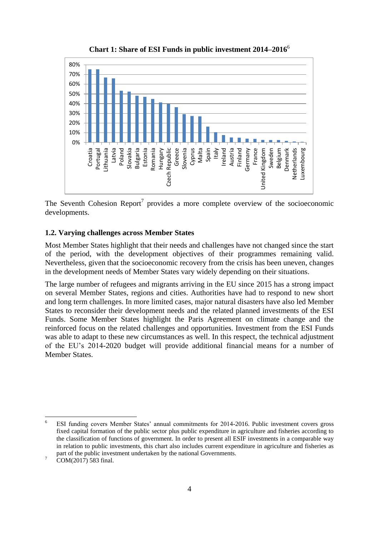

**Chart 1: Share of ESI Funds in public investment 2014–2016**<sup>6</sup>

The Seventh Cohesion Report<sup>7</sup> provides a more complete overview of the socioeconomic developments.

#### <span id="page-4-0"></span>**1.2. Varying challenges across Member States**

Most Member States highlight that their needs and challenges have not changed since the start of the period, with the development objectives of their programmes remaining valid. Nevertheless, given that the socioeconomic recovery from the crisis has been uneven, changes in the development needs of Member States vary widely depending on their situations.

The large number of refugees and migrants arriving in the EU since 2015 has a strong impact on several Member States, regions and cities. Authorities have had to respond to new short and long term challenges. In more limited cases, major natural disasters have also led Member States to reconsider their development needs and the related planned investments of the ESI Funds. Some Member States highlight the Paris Agreement on climate change and the reinforced focus on the related challenges and opportunities. Investment from the ESI Funds was able to adapt to these new circumstances as well. In this respect, the technical adjustment of the EU's 2014-2020 budget will provide additional financial means for a number of Member States.

<sup>6</sup> <sup>6</sup> ESI funding covers Member States' annual commitments for 2014-2016. Public investment covers gross fixed capital formation of the public sector plus public expenditure in agriculture and fisheries according to the classification of functions of government. In order to present all ESIF investments in a comparable way in relation to public investments, this chart also includes current expenditure in agriculture and fisheries as part of the public investment undertaken by the national Governments.

 $7 \text{ COM}(2017) 583 \text{ final.}$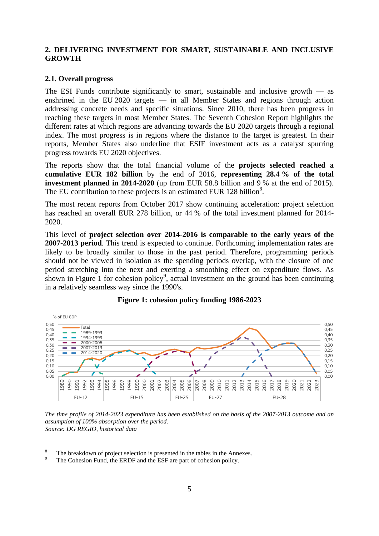## <span id="page-5-0"></span>**2. DELIVERING INVESTMENT FOR SMART, SUSTAINABLE AND INCLUSIVE GROWTH**

#### <span id="page-5-1"></span>**2.1. Overall progress**

The ESI Funds contribute significantly to smart, sustainable and inclusive growth  $\frac{ }{ }$  as enshrined in the EU 2020 targets — in all Member States and regions through action addressing concrete needs and specific situations. Since 2010, there has been progress in reaching these targets in most Member States. The Seventh Cohesion Report highlights the different rates at which regions are advancing towards the EU 2020 targets through a regional index. The most progress is in regions where the distance to the target is greatest. In their reports, Member States also underline that ESIF investment acts as a catalyst spurring progress towards EU 2020 objectives.

The reports show that the total financial volume of the **projects selected reached a cumulative EUR 182 billion** by the end of 2016, **representing 28.4 % of the total investment planned in 2014-2020** (up from EUR 58.8 billion and 9 % at the end of 2015). The EU contribution to these projects is an estimated EUR 128 billion<sup>8</sup>.

The most recent reports from October 2017 show continuing acceleration: project selection has reached an overall EUR 278 billion, or 44 % of the total investment planned for 2014- 2020.

This level of **project selection over 2014-2016 is comparable to the early years of the 2007-2013 period**. This trend is expected to continue. Forthcoming implementation rates are likely to be broadly similar to those in the past period. Therefore, programming periods should not be viewed in isolation as the spending periods overlap, with the closure of one period stretching into the next and exerting a smoothing effect on expenditure flows. As shown in Figure 1 for cohesion policy<sup>9</sup>, actual investment on the ground has been continuing in a relatively seamless way since the 1990's.



### **Figure 1: cohesion policy funding 1986-2023**

*The time profile of 2014-2023 expenditure has been established on the basis of the 2007-2013 outcome and an assumption of 100% absorption over the period. Source: DG REGIO, historical data*

 $\overline{8}$  $\frac{8}{9}$  The breakdown of project selection is presented in the tables in the Annexes.

The Cohesion Fund, the ERDF and the ESF are part of cohesion policy.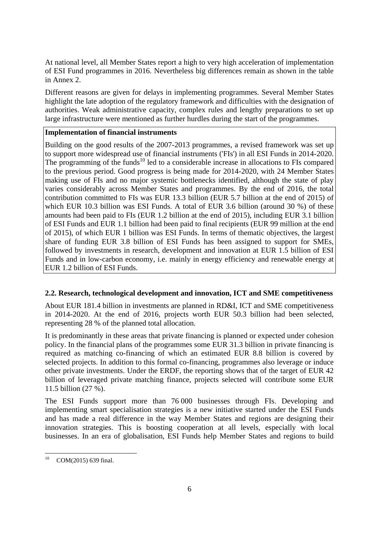At national level, all Member States report a high to very high acceleration of implementation of ESI Fund programmes in 2016. Nevertheless big differences remain as shown in the table in Annex 2.

Different reasons are given for delays in implementing programmes. Several Member States highlight the late adoption of the regulatory framework and difficulties with the designation of authorities. Weak administrative capacity, complex rules and lengthy preparations to set up large infrastructure were mentioned as further hurdles during the start of the programmes.

## **Implementation of financial instruments**

Building on the good results of the 2007-2013 programmes, a revised framework was set up to support more widespread use of financial instruments ('FIs') in all ESI Funds in 2014-2020. The programming of the funds<sup>10</sup> led to a considerable increase in allocations to FIs compared to the previous period. Good progress is being made for 2014-2020, with 24 Member States making use of FIs and no major systemic bottlenecks identified, although the state of play varies considerably across Member States and programmes. By the end of 2016, the total contribution committed to FIs was EUR 13.3 billion (EUR 5.7 billion at the end of 2015) of which EUR 10.3 billion was ESI Funds. A total of EUR 3.6 billion (around 30 %) of these amounts had been paid to FIs (EUR 1.2 billion at the end of 2015), including EUR 3.1 billion of ESI Funds and EUR 1.1 billion had been paid to final recipients (EUR 99 million at the end of 2015), of which EUR 1 billion was ESI Funds. In terms of thematic objectives, the largest share of funding EUR 3.8 billion of ESI Funds has been assigned to support for SMEs, followed by investments in research, development and innovation at EUR 1.5 billion of ESI Funds and in low-carbon economy, i.e. mainly in energy efficiency and renewable energy at EUR 1.2 billion of ESI Funds.

### <span id="page-6-0"></span>**2.2. Research, technological development and innovation, ICT and SME competitiveness**

About EUR 181.4 billion in investments are planned in RD&I, ICT and SME competitiveness in 2014-2020. At the end of 2016, projects worth EUR 50.3 billion had been selected, representing 28 % of the planned total allocation.

It is predominantly in these areas that private financing is planned or expected under cohesion policy. In the financial plans of the programmes some EUR 31.3 billion in private financing is required as matching co-financing of which an estimated EUR 8.8 billion is covered by selected projects. In addition to this formal co-financing, programmes also leverage or induce other private investments. Under the ERDF, the reporting shows that of the target of EUR 42 billion of leveraged private matching finance, projects selected will contribute some EUR 11.5 billion (27 %).

The ESI Funds support more than 76 000 businesses through FIs. Developing and implementing smart specialisation strategies is a new initiative started under the ESI Funds and has made a real difference in the way Member States and regions are designing their innovation strategies. This is boosting cooperation at all levels, especially with local businesses. In an era of globalisation, ESI Funds help Member States and regions to build

 $10$ COM(2015) 639 final.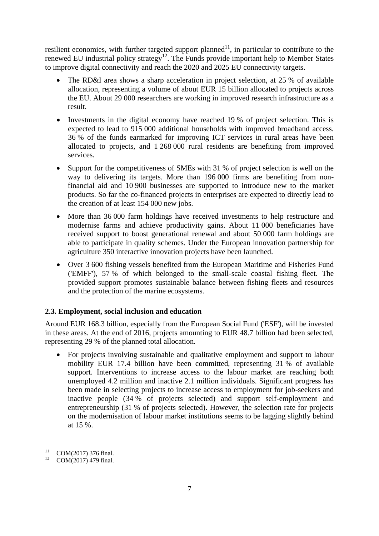resilient economies, with further targeted support planned<sup>11</sup>, in particular to contribute to the renewed EU industrial policy strategy<sup>12</sup>. The Funds provide important help to Member States to improve digital connectivity and reach the 2020 and 2025 EU connectivity targets.

- The RD&I area shows a sharp acceleration in project selection, at 25 % of available allocation, representing a volume of about EUR 15 billion allocated to projects across the EU. About 29 000 researchers are working in improved research infrastructure as a result.
- Investments in the digital economy have reached 19 % of project selection. This is expected to lead to 915 000 additional households with improved broadband access. 36 % of the funds earmarked for improving ICT services in rural areas have been allocated to projects, and 1 268 000 rural residents are benefiting from improved services.
- Support for the competitiveness of SMEs with 31 % of project selection is well on the way to delivering its targets. More than 196 000 firms are benefiting from nonfinancial aid and 10 900 businesses are supported to introduce new to the market products. So far the co-financed projects in enterprises are expected to directly lead to the creation of at least 154 000 new jobs.
- More than 36 000 farm holdings have received investments to help restructure and modernise farms and achieve productivity gains. About 11 000 beneficiaries have received support to boost generational renewal and about 50 000 farm holdings are able to participate in quality schemes. Under the European innovation partnership for agriculture 350 interactive innovation projects have been launched.
- Over 3 600 fishing vessels benefited from the European Maritime and Fisheries Fund ('EMFF'), 57 % of which belonged to the small-scale coastal fishing fleet. The provided support promotes sustainable balance between fishing fleets and resources and the protection of the marine ecosystems.

# <span id="page-7-0"></span>**2.3. Employment, social inclusion and education**

Around EUR 168.3 billion, especially from the European Social Fund ('ESF'), will be invested in these areas. At the end of 2016, projects amounting to EUR 48.7 billion had been selected, representing 29 % of the planned total allocation.

 For projects involving sustainable and qualitative employment and support to labour mobility EUR 17.4 billion have been committed, representing 31 % of available support. Interventions to increase access to the labour market are reaching both unemployed 4.2 million and inactive 2.1 million individuals. Significant progress has been made in selecting projects to increase access to employment for job-seekers and inactive people (34 % of projects selected) and support self-employment and entrepreneurship (31 % of projects selected). However, the selection rate for projects on the modernisation of labour market institutions seems to be lagging slightly behind at 15 %.

 $11$  $^{11}$  COM(2017) 376 final.

COM(2017) 479 final.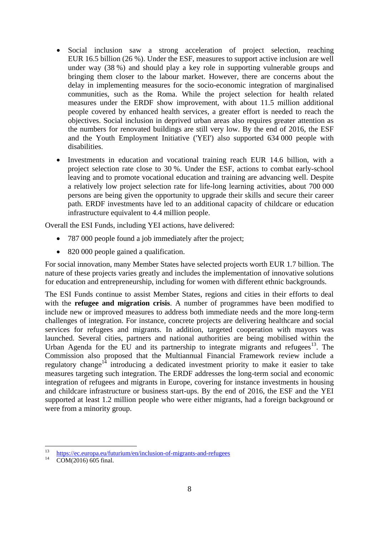- Social inclusion saw a strong acceleration of project selection, reaching EUR 16.5 billion (26 %). Under the ESF, measures to support active inclusion are well under way (38 %) and should play a key role in supporting vulnerable groups and bringing them closer to the labour market. However, there are concerns about the delay in implementing measures for the socio-economic integration of marginalised communities, such as the Roma. While the project selection for health related measures under the ERDF show improvement, with about 11.5 million additional people covered by enhanced health services, a greater effort is needed to reach the objectives. Social inclusion in deprived urban areas also requires greater attention as the numbers for renovated buildings are still very low. By the end of 2016, the ESF and the Youth Employment Initiative ('YEI') also supported 634 000 people with disabilities.
- Investments in education and vocational training reach EUR 14.6 billion, with a project selection rate close to 30 %. Under the ESF, actions to combat early-school leaving and to promote vocational education and training are advancing well. Despite a relatively low project selection rate for life-long learning activities, about 700 000 persons are being given the opportunity to upgrade their skills and secure their career path. ERDF investments have led to an additional capacity of childcare or education infrastructure equivalent to 4.4 million people.

Overall the ESI Funds, including YEI actions, have delivered:

- 787 000 people found a job immediately after the project;
- 820 000 people gained a qualification.

For social innovation, many Member States have selected projects worth EUR 1.7 billion. The nature of these projects varies greatly and includes the implementation of innovative solutions for education and entrepreneurship, including for women with different ethnic backgrounds.

The ESI Funds continue to assist Member States, regions and cities in their efforts to deal with the **refugee and migration crisis**. A number of programmes have been modified to include new or improved measures to address both immediate needs and the more long-term challenges of integration. For instance, concrete projects are delivering healthcare and social services for refugees and migrants. In addition, targeted cooperation with mayors was launched. Several cities, partners and national authorities are being mobilised within the Urban Agenda for the EU and its partnership to integrate migrants and refugees $13$ . The Commission also proposed that the Multiannual Financial Framework review include a regulatory change<sup>14</sup> introducing a dedicated investment priority to make it easier to take measures targeting such integration. The ERDF addresses the long-term social and economic integration of refugees and migrants in Europe, covering for instance investments in housing and childcare infrastructure or business start-ups. By the end of 2016, the ESF and the YEI supported at least 1.2 million people who were either migrants, had a foreign background or were from a minority group.

 $13$ <sup>13</sup> <https://ec.europa.eu/futurium/en/inclusion-of-migrants-and-refugees>

COM(2016) 605 final.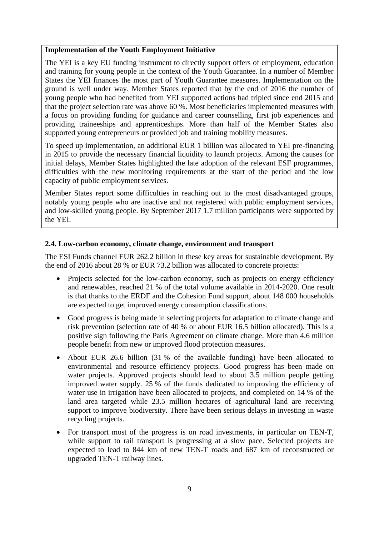#### **Implementation of the Youth Employment Initiative**

The YEI is a key EU funding instrument to directly support offers of employment, education and training for young people in the context of the Youth Guarantee. In a number of Member States the YEI finances the most part of Youth Guarantee measures. Implementation on the ground is well under way. Member States reported that by the end of 2016 the number of young people who had benefited from YEI supported actions had tripled since end 2015 and that the project selection rate was above 60 %. Most beneficiaries implemented measures with a focus on providing funding for guidance and career counselling, first job experiences and providing traineeships and apprenticeships. More than half of the Member States also supported young entrepreneurs or provided job and training mobility measures.

To speed up implementation, an additional EUR 1 billion was allocated to YEI pre-financing in 2015 to provide the necessary financial liquidity to launch projects. Among the causes for initial delays, Member States highlighted the late adoption of the relevant ESF programmes, difficulties with the new monitoring requirements at the start of the period and the low capacity of public employment services.

Member States report some difficulties in reaching out to the most disadvantaged groups, notably young people who are inactive and not registered with public employment services, and low-skilled young people. By September 2017 1.7 million participants were supported by the YEI.

### <span id="page-9-0"></span>**2.4. Low-carbon economy, climate change, environment and transport**

The ESI Funds channel EUR 262.2 billion in these key areas for sustainable development. By the end of 2016 about 28 % or EUR 73.2 billion was allocated to concrete projects:

- Projects selected for the low-carbon economy, such as projects on energy efficiency and renewables, reached 21 % of the total volume available in 2014-2020. One result is that thanks to the ERDF and the Cohesion Fund support, about 148 000 households are expected to get improved energy consumption classifications.
- Good progress is being made in selecting projects for adaptation to climate change and risk prevention (selection rate of 40 % or about EUR 16.5 billion allocated). This is a positive sign following the Paris Agreement on climate change. More than 4.6 million people benefit from new or improved flood protection measures.
- About EUR 26.6 billion (31 % of the available funding) have been allocated to environmental and resource efficiency projects. Good progress has been made on water projects. Approved projects should lead to about 3.5 million people getting improved water supply. 25 % of the funds dedicated to improving the efficiency of water use in irrigation have been allocated to projects, and completed on 14 % of the land area targeted while 23.5 million hectares of agricultural land are receiving support to improve biodiversity. There have been serious delays in investing in waste recycling projects.
- For transport most of the progress is on road investments, in particular on TEN-T, while support to rail transport is progressing at a slow pace. Selected projects are expected to lead to 844 km of new TEN-T roads and 687 km of reconstructed or upgraded TEN-T railway lines.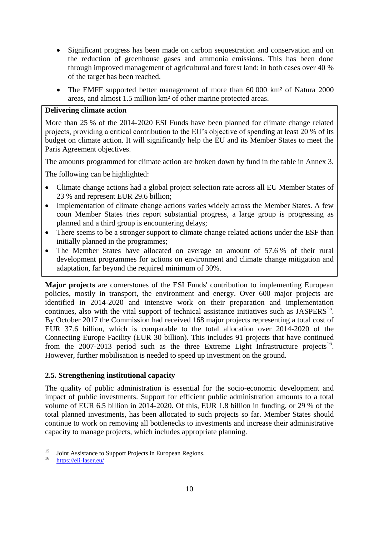- Significant progress has been made on carbon sequestration and conservation and on the reduction of greenhouse gases and ammonia emissions. This has been done through improved management of agricultural and forest land: in both cases over 40 % of the target has been reached.
- The EMFF supported better management of more than 60 000 km<sup>2</sup> of Natura 2000 areas, and almost 1.5 million km² of other marine protected areas.

#### **Delivering climate action**

More than 25 % of the 2014-2020 ESI Funds have been planned for climate change related projects, providing a critical contribution to the EU's objective of spending at least 20 % of its budget on climate action. It will significantly help the EU and its Member States to meet the Paris Agreement objectives.

The amounts programmed for climate action are broken down by fund in the table in Annex 3.

The following can be highlighted:

- Climate change actions had a global project selection rate across all EU Member States of 23 % and represent EUR 29.6 billion;
- Implementation of climate change actions varies widely across the Member States. A few coun Member States tries report substantial progress, a large group is progressing as planned and a third group is encountering delays;
- There seems to be a stronger support to climate change related actions under the ESF than initially planned in the programmes;
- The Member States have allocated on average an amount of 57.6 % of their rural development programmes for actions on environment and climate change mitigation and adaptation, far beyond the required minimum of 30%.

**Major projects** are cornerstones of the ESI Funds' contribution to implementing European policies, mostly in transport, the environment and energy. Over 600 major projects are identified in 2014-2020 and intensive work on their preparation and implementation continues, also with the vital support of technical assistance initiatives such as  $JASPERS<sup>15</sup>$ . By October 2017 the Commission had received 168 major projects representing a total cost of EUR 37.6 billion, which is comparable to the total allocation over 2014-2020 of the Connecting Europe Facility (EUR 30 billion). This includes 91 projects that have continued from the  $2007-2013$  period such as the three Extreme Light Infrastructure projects<sup>16</sup>. However, further mobilisation is needed to speed up investment on the ground.

### <span id="page-10-0"></span>**2.5. Strengthening institutional capacity**

The quality of public administration is essential for the socio-economic development and impact of public investments. Support for efficient public administration amounts to a total volume of EUR 6.5 billion in 2014-2020. Of this, EUR 1.8 billion in funding, or 29 % of the total planned investments, has been allocated to such projects so far. Member States should continue to work on removing all bottlenecks to investments and increase their administrative capacity to manage projects, which includes appropriate planning.

 $15$ <sup>15</sup> Joint Assistance to Support Projects in European Regions.

<https://eli-laser.eu/>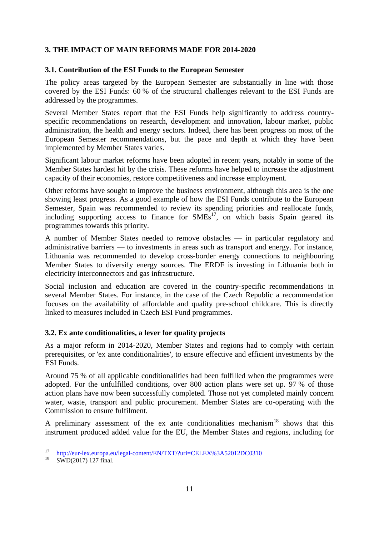# <span id="page-11-0"></span>**3. THE IMPACT OF MAIN REFORMS MADE FOR 2014-2020**

### <span id="page-11-1"></span>**3.1. Contribution of the ESI Funds to the European Semester**

The policy areas targeted by the European Semester are substantially in line with those covered by the ESI Funds: 60 % of the structural challenges relevant to the ESI Funds are addressed by the programmes.

Several Member States report that the ESI Funds help significantly to address countryspecific recommendations on research, development and innovation, labour market, public administration, the health and energy sectors. Indeed, there has been progress on most of the European Semester recommendations, but the pace and depth at which they have been implemented by Member States varies.

Significant labour market reforms have been adopted in recent years, notably in some of the Member States hardest hit by the crisis. These reforms have helped to increase the adjustment capacity of their economies, restore competitiveness and increase employment.

Other reforms have sought to improve the business environment, although this area is the one showing least progress. As a good example of how the ESI Funds contribute to the European Semester, Spain was recommended to review its spending priorities and reallocate funds, including supporting access to finance for  $SMEs<sup>17</sup>$ , on which basis Spain geared its programmes towards this priority.

A number of Member States needed to remove obstacles — in particular regulatory and administrative barriers — to investments in areas such as transport and energy. For instance, Lithuania was recommended to develop cross‐border energy connections to neighbouring Member States to diversify energy sources. The ERDF is investing in Lithuania both in electricity interconnectors and gas infrastructure.

Social inclusion and education are covered in the country-specific recommendations in several Member States. For instance, in the case of the Czech Republic a recommendation focuses on the availability of affordable and quality pre-school childcare. This is directly linked to measures included in Czech ESI Fund programmes.

# <span id="page-11-2"></span>**3.2. Ex ante conditionalities, a lever for quality projects**

As a major reform in 2014-2020, Member States and regions had to comply with certain prerequisites, or 'ex ante conditionalities'*,* to ensure effective and efficient investments by the ESI Funds.

Around 75 % of all applicable conditionalities had been fulfilled when the programmes were adopted. For the unfulfilled conditions, over 800 action plans were set up. 97 % of those action plans have now been successfully completed. Those not yet completed mainly concern water, waste, transport and public procurement. Member States are co-operating with the Commission to ensure fulfilment.

A preliminary assessment of the ex ante conditionalities mechanism<sup>18</sup> shows that this instrument produced added value for the EU, the Member States and regions, including for

 $17$ <sup>17</sup> <http://eur-lex.europa.eu/legal-content/EN/TXT/?uri=CELEX%3A52012DC0310>

SWD(2017) 127 final.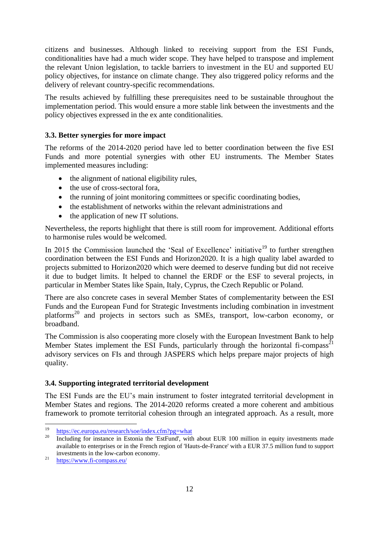citizens and businesses. Although linked to receiving support from the ESI Funds, conditionalities have had a much wider scope. They have helped to transpose and implement the relevant Union legislation, to tackle barriers to investment in the EU and supported EU policy objectives, for instance on climate change. They also triggered policy reforms and the delivery of relevant country-specific recommendations.

The results achieved by fulfilling these prerequisites need to be sustainable throughout the implementation period. This would ensure a more stable link between the investments and the policy objectives expressed in the ex ante conditionalities.

# <span id="page-12-0"></span>**3.3. Better synergies for more impact**

The reforms of the 2014-2020 period have led to better coordination between the five ESI Funds and more potential synergies with other EU instruments. The Member States implemented measures including:

- the alignment of national eligibility rules,
- the use of cross-sectoral fora,
- the running of joint monitoring committees or specific coordinating bodies,
- the establishment of networks within the relevant administrations and
- the application of new IT solutions.

Nevertheless, the reports highlight that there is still room for improvement. Additional efforts to harmonise rules would be welcomed.

In 2015 the Commission launched the 'Seal of Excellence' initiative<sup>19</sup> to further strengthen coordination between the ESI Funds and Horizon2020. It is a high quality label awarded to projects submitted to Horizon2020 which were deemed to deserve funding but did not receive it due to budget limits. It helped to channel the ERDF or the ESF to several projects, in particular in Member States like Spain, Italy, Cyprus, the Czech Republic or Poland.

There are also concrete cases in several Member States of complementarity between the ESI Funds and the European Fund for Strategic Investments including combination in investment platforms<sup>20</sup> and projects in sectors such as SMEs, transport, low-carbon economy, or broadband.

The Commission is also cooperating more closely with the European Investment Bank to help Member States implement the ESI Funds, particularly through the horizontal fi-compass<sup>21</sup> advisory services on FIs and through JASPERS which helps prepare major projects of high quality.

### <span id="page-12-1"></span>**3.4. Supporting integrated territorial development**

The ESI Funds are the EU's main instrument to foster integrated territorial development in Member States and regions. The 2014-2020 reforms created a more coherent and ambitious framework to promote territorial cohesion through an integrated approach. As a result, more

1

<sup>&</sup>lt;sup>19</sup> <https://ec.europa.eu/research/soe/index.cfm?pg=what>

Including for instance in Estonia the 'EstFund', with about EUR 100 million in equity investments made available to enterprises or in the French region of 'Hauts-de-France' with a EUR 37.5 million fund to support investments in the low-carbon economy.

<sup>&</sup>lt;sup>21</sup> <https://www.fi-compass.eu/>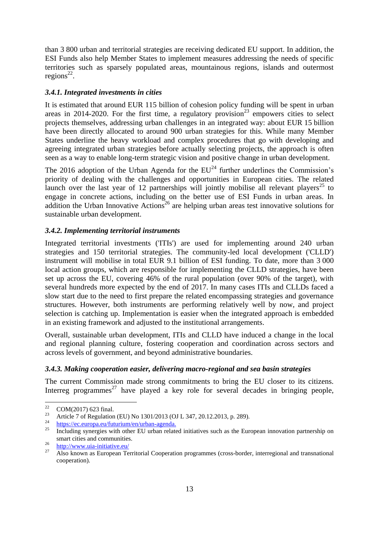than 3 800 urban and territorial strategies are receiving dedicated EU support. In addition, the ESI Funds also help Member States to implement measures addressing the needs of specific territories such as sparsely populated areas, mountainous regions, islands and outermost  $regions^{22}$ .

## <span id="page-13-0"></span>*3.4.1. Integrated investments in cities*

It is estimated that around EUR 115 billion of cohesion policy funding will be spent in urban areas in 2014-2020. For the first time, a regulatory provision<sup>23</sup> empowers cities to select projects themselves, addressing urban challenges in an integrated way: about EUR 15 billion have been directly allocated to around 900 urban strategies for this. While many Member States underline the heavy workload and complex procedures that go with developing and agreeing integrated urban strategies before actually selecting projects, the approach is often seen as a way to enable long-term strategic vision and positive change in urban development.

The 2016 adoption of the Urban Agenda for the  $EU^{24}$  further underlines the Commission's priority of dealing with the challenges and opportunities in European cities. The related launch over the last year of 12 partnerships will jointly mobilise all relevant players<sup>25</sup> to engage in concrete actions, including on the better use of ESI Funds in urban areas. In addition the Urban Innovative Actions<sup>26</sup> are helping urban areas test innovative solutions for sustainable urban development.

## <span id="page-13-1"></span>*3.4.2. Implementing territorial instruments*

Integrated territorial investments ('ITIs') are used for implementing around 240 urban strategies and 150 territorial strategies. The community-led local development ('CLLD') instrument will mobilise in total EUR 9.1 billion of ESI funding. To date, more than 3 000 local action groups, which are responsible for implementing the CLLD strategies, have been set up across the EU, covering 46% of the rural population (over 90% of the target), with several hundreds more expected by the end of 2017. In many cases ITIs and CLLDs faced a slow start due to the need to first prepare the related encompassing strategies and governance structures. However, both instruments are performing relatively well by now, and project selection is catching up. Implementation is easier when the integrated approach is embedded in an existing framework and adjusted to the institutional arrangements.

Overall, sustainable urban development, ITIs and CLLD have induced a change in the local and regional planning culture, fostering cooperation and coordination across sectors and across levels of government, and beyond administrative boundaries.

# <span id="page-13-2"></span>*3.4.3. Making cooperation easier, delivering macro-regional and sea basin strategies*

The current Commission made strong commitments to bring the EU closer to its citizens. Interreg programmes<sup>27</sup> have played a key role for several decades in bringing people,

<sup>22</sup>  $\frac{22}{23}$  COM(2017) 623 final.

<sup>&</sup>lt;sup>23</sup> Article 7 of Regulation (EU) No 1301/2013 (OJ L 347, 20.12.2013, p. 289).

 $\frac{24}{25}$  [https://ec.europa.eu/futurium/en/urban-agenda.](https://ec.europa.eu/futurium/en/urban-agenda)

Including synergies with other EU urban related initiatives such as the European innovation partnership on smart cities and communities.

 $rac{26}{27}$  <http://www.uia-initiative.eu/>

<sup>27</sup> Also known as European Territorial Cooperation programmes (cross-border, interregional and transnational cooperation).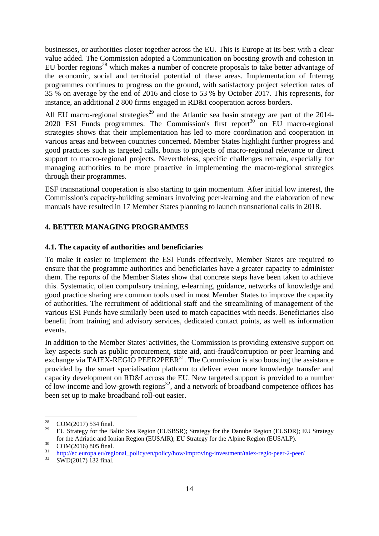businesses, or authorities closer together across the EU. This is Europe at its best with a clear value added. The Commission adopted a Communication on boosting growth and cohesion in EU border regions<sup>28</sup> which makes a number of concrete proposals to take better advantage of the economic, social and territorial potential of these areas. Implementation of Interreg programmes continues to progress on the ground, with satisfactory project selection rates of 35 % on average by the end of 2016 and close to 53 % by October 2017. This represents, for instance, an additional 2 800 firms engaged in RD&I cooperation across borders.

All EU macro-regional strategies<sup>29</sup> and the Atlantic sea basin strategy are part of the 2014-2020 ESI Funds programmes. The Commission's first report<sup>30</sup> on EU macro-regional strategies shows that their implementation has led to more coordination and cooperation in various areas and between countries concerned. Member States highlight further progress and good practices such as targeted calls, bonus to projects of macro-regional relevance or direct support to macro-regional projects. Nevertheless, specific challenges remain, especially for managing authorities to be more proactive in implementing the macro-regional strategies through their programmes.

ESF transnational cooperation is also starting to gain momentum. After initial low interest, the Commission's capacity-building seminars involving peer-learning and the elaboration of new manuals have resulted in 17 Member States planning to launch transnational calls in 2018.

## <span id="page-14-0"></span>**4. BETTER MANAGING PROGRAMMES**

### <span id="page-14-1"></span>**4.1. The capacity of authorities and beneficiaries**

To make it easier to implement the ESI Funds effectively, Member States are required to ensure that the programme authorities and beneficiaries have a greater capacity to administer them. The reports of the Member States show that concrete steps have been taken to achieve this. Systematic, often compulsory training, e-learning, guidance, networks of knowledge and good practice sharing are common tools used in most Member States to improve the capacity of authorities. The recruitment of additional staff and the streamlining of management of the various ESI Funds have similarly been used to match capacities with needs. Beneficiaries also benefit from training and advisory services, dedicated contact points, as well as information events.

In addition to the Member States' activities, the Commission is providing extensive support on key aspects such as public procurement, state aid, anti-fraud/corruption or peer learning and exchange via TAIEX-REGIO PEER2PEER<sup>31</sup>. The Commission is also boosting the assistance provided by the smart specialisation platform to deliver even more knowledge transfer and capacity development on RD&I across the EU. New targeted support is provided to a number of low-income and low-growth regions<sup>32</sup>, and a network of broadband competence offices has been set up to make broadband roll-out easier.

<sup>28</sup>  $\frac{28}{29}$  COM(2017) 534 final.

<sup>29</sup> EU Strategy for the Baltic Sea Region (EUSBSR); Strategy for the Danube Region (EUSDR); EU Strategy for the Adriatic and Ionian Region (EUSAIR); EU Strategy for the Alpine Region (EUSALP).

 $^{30}$  COM(2016) 805 final.

 $\frac{31}{22}$  [http://ec.europa.eu/regional\\_policy/en/policy/how/improving-investment/taiex-regio-peer-2-peer/](http://ec.europa.eu/regional_policy/en/policy/how/improving-investment/taiex-regio-peer-2-peer/)

<sup>32</sup> SWD(2017) 132 final.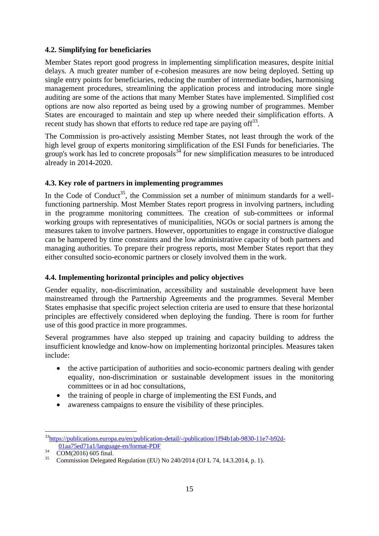## <span id="page-15-0"></span>**4.2. Simplifying for beneficiaries**

Member States report good progress in implementing simplification measures, despite initial delays. A much greater number of e-cohesion measures are now being deployed. Setting up single entry points for beneficiaries, reducing the number of intermediate bodies, harmonising management procedures, streamlining the application process and introducing more single auditing are some of the actions that many Member States have implemented. Simplified cost options are now also reported as being used by a growing number of programmes. Member States are encouraged to maintain and step up where needed their simplification efforts. A recent study has shown that efforts to reduce red tape are paying of  $f^{33}$ .

The Commission is pro-actively assisting Member States, not least through the work of the high level group of experts monitoring simplification of the ESI Funds for beneficiaries. The group's work has led to concrete proposals<sup>34</sup> for new simplification measures to be introduced already in 2014-2020.

## <span id="page-15-1"></span>**4.3. Key role of partners in implementing programmes**

In the Code of Conduct<sup>35</sup>, the Commission set a number of minimum standards for a wellfunctioning partnership. Most Member States report progress in involving partners, including in the programme monitoring committees. The creation of sub-committees or informal working groups with representatives of municipalities, NGOs or social partners is among the measures taken to involve partners. However, opportunities to engage in constructive dialogue can be hampered by time constraints and the low administrative capacity of both partners and managing authorities. To prepare their progress reports, most Member States report that they either consulted socio-economic partners or closely involved them in the work.

# <span id="page-15-2"></span>**4.4. Implementing horizontal principles and policy objectives**

Gender equality, non-discrimination, accessibility and sustainable development have been mainstreamed through the Partnership Agreements and the programmes. Several Member States emphasise that specific project selection criteria are used to ensure that these horizontal principles are effectively considered when deploying the funding. There is room for further use of this good practice in more programmes.

Several programmes have also stepped up training and capacity building to address the insufficient knowledge and know-how on implementing horizontal principles. Measures taken include:

- the active participation of authorities and socio-economic partners dealing with gender equality, non-discrimination or sustainable development issues in the monitoring committees or in ad hoc consultations,
- the training of people in charge of implementing the ESI Funds, and
- awareness campaigns to ensure the visibility of these principles.

<sup>1</sup> <sup>33</sup>[https://publications.europa.eu/en/publication-detail/-/publication/1f94b1ab-9830-11e7-b92d-](https://publications.europa.eu/en/publication-detail/-/publication/1f94b1ab-9830-11e7-b92d-01aa75ed71a1/language-en/format-PDF)[01aa75ed71a1/language-en/format-PDF](https://publications.europa.eu/en/publication-detail/-/publication/1f94b1ab-9830-11e7-b92d-01aa75ed71a1/language-en/format-PDF)

 $\frac{34}{35}$  COM(2016) 605 final.

<sup>35</sup> Commission Delegated Regulation (EU) No 240/2014 (OJ L 74, 14.3.2014, p. 1).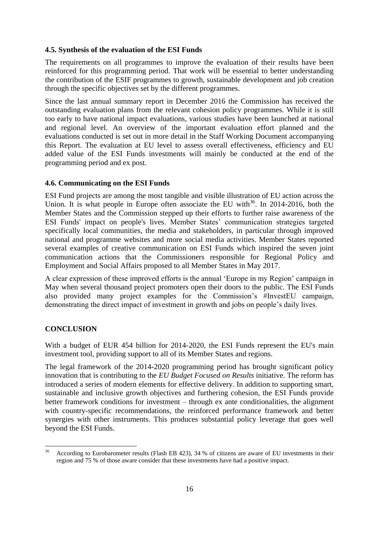### <span id="page-16-0"></span>**4.5. Synthesis of the evaluation of the ESI Funds**

The requirements on all programmes to improve the evaluation of their results have been reinforced for this programming period. That work will be essential to better understanding the contribution of the ESIF programmes to growth, sustainable development and job creation through the specific objectives set by the different programmes.

Since the last annual summary report in December 2016 the Commission has received the outstanding evaluation plans from the relevant cohesion policy programmes. While it is still too early to have national impact evaluations, various studies have been launched at national and regional level. An overview of the important evaluation effort planned and the evaluations conducted is set out in more detail in the Staff Working Document accompanying this Report. The evaluation at EU level to assess overall effectiveness, efficiency and EU added value of the ESI Funds investments will mainly be conducted at the end of the programming period and ex post.

## <span id="page-16-1"></span>**4.6. Communicating on the ESI Funds**

ESI Fund projects are among the most tangible and visible illustration of EU action across the Union. It is what people in Europe often associate the EU with $36$ . In 2014-2016, both the Member States and the Commission stepped up their efforts to further raise awareness of the ESI Funds' impact on people's lives. Member States' communication strategies targeted specifically local communities, the media and stakeholders, in particular through improved national and programme websites and more social media activities. Member States reported several examples of creative communication on ESI Funds which inspired the seven joint communication actions that the Commissioners responsible for Regional Policy and Employment and Social Affairs proposed to all Member States in May 2017.

A clear expression of these improved efforts is the annual 'Europe in my Region' campaign in May when several thousand project promoters open their doors to the public. The ESI Funds also provided many project examples for the Commission's #InvestEU campaign, demonstrating the direct impact of investment in growth and jobs on people's daily lives.

# <span id="page-16-2"></span>**CONCLUSION**

With a budget of EUR 454 billion for 2014-2020, the ESI Funds represent the EU's main investment tool, providing support to all of its Member States and regions.

The legal framework of the 2014-2020 programming period has brought significant policy innovation that is contributing to the *EU Budget Focused on Results* initiative. The reform has introduced a series of modern elements for effective delivery. In addition to supporting smart, sustainable and inclusive growth objectives and furthering cohesion, the ESI Funds provide better framework conditions for investment – through ex ante conditionalities, the alignment with country-specific recommendations, the reinforced performance framework and better synergies with other instruments. This produces substantial policy leverage that goes well beyond the ESI Funds.

 $36$ <sup>36</sup> According to Eurobarometer results (Flash EB 423), 34 % of citizens are aware of EU investments in their region and 75 % of those aware consider that these investments have had a positive impact.